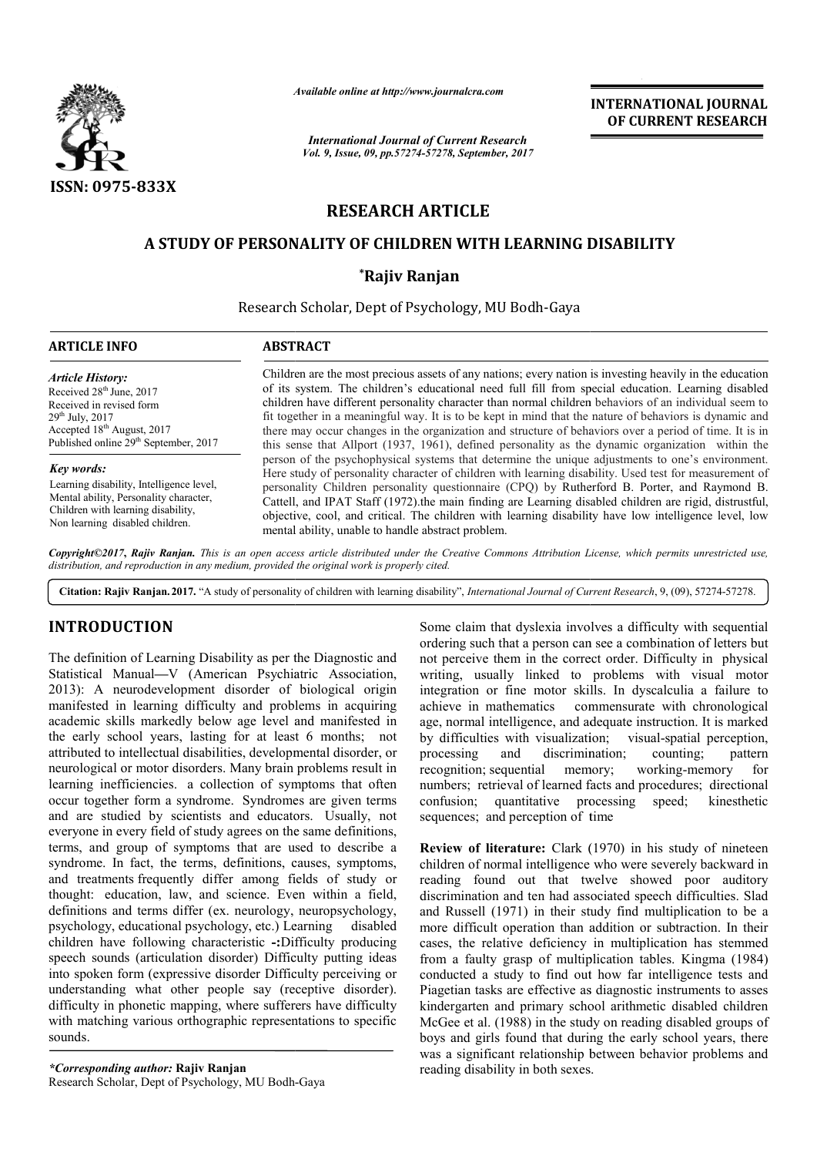

*Available online at http://www.journal http://www.journalcra.com*

*International Journal of Current Research Vol. 9, Issue, 09, pp.57274-57278, September, 2017* **INTERNATIONAL JOURNAL OF CURRENT RESEARCH** 

# **RESEARCH ARTICLE**

# **A STUDY OF PERSONALITY OF CHILDREN WITH LEARNING DISABILITY OF PERSONALITY CHILDREN WITH**

## **\*Rajiv Ranjan**

Research Scholar, Dept of Psychology, MU Bodh-Gaya

| <b>ARTICLE INFO</b>                                                                                                                                                                                                                                                                                                                                                                               | <b>ABSTRACT</b>                                                                                                                                                                                                                                                                                                                                                                                                                                                                                                                                                                                                                                 |
|---------------------------------------------------------------------------------------------------------------------------------------------------------------------------------------------------------------------------------------------------------------------------------------------------------------------------------------------------------------------------------------------------|-------------------------------------------------------------------------------------------------------------------------------------------------------------------------------------------------------------------------------------------------------------------------------------------------------------------------------------------------------------------------------------------------------------------------------------------------------------------------------------------------------------------------------------------------------------------------------------------------------------------------------------------------|
| <b>Article History:</b><br>Received 28 <sup>th</sup> June, 2017<br>Received in revised form<br>$29^{th}$ July, $2017$<br>Accepted 18 <sup>th</sup> August, 2017<br>Published online 29 <sup>th</sup> September, 2017<br>Key words:<br>Learning disability, Intelligence level,<br>Mental ability, Personality character,<br>Children with learning disability,<br>Non learning disabled children. | Children are the most precious assets of any nations; every nation is investing heavily in the education<br>of its system. The children's educational need full fill from special education. Learning disabled<br>children have different personality character than normal children behaviors of an individual seem to<br>fit together in a meaningful way. It is to be kept in mind that the nature of behaviors is dynamic and<br>there may occur changes in the organization and structure of behaviors over a period of time. It is in<br>this sense that Allport (1937, 1961), defined personality as the dynamic organization within the |
|                                                                                                                                                                                                                                                                                                                                                                                                   | person of the psychophysical systems that determine the unique adjustments to one's environment.<br>Here study of personality character of children with learning disability. Used test for measurement of<br>personality Children personality questionnaire (CPQ) by Rutherford B. Porter, and Raymond B.<br>Cattell, and IPAT Staff (1972) the main finding are Learning disabled children are rigid, distrustful,<br>objective, cool, and critical. The children with learning disability have low intelligence level, low<br>mental ability, unable to handle abstract problem.                                                             |

*Copyright©2017***,** *Rajiv Ranjan. This is an open access article distributed under the Creative Commons Att Attribution License, which ribution permits unrestricted use, distribution, and reproduction in any medium, provided the original work is properly cited.*

Citation: Rajiv Ranjan. 2017. "A study of personality of children with learning disability", *International Journal of Current Research*, 9, (09), 57274-57278.

# **INTRODUCTION**

The definition of Learning Disability as per the Diagnostic and Statistical Manual**—**V (American Psychiatric Association, 2013): A neurodevelopment disorder of biological origin manifested in learning difficulty and problems in acquiring academic skills markedly below age level and manifested in the early school years, lasting for at least 6 months; not attributed to intellectual disabilities, developmental disorder, or neurological or motor disorders. Many brain problems result in learning inefficiencies. a collection of symptoms that often occur together form a syndrome. Syndromes are given terms and are studied by scientists and educators. Usually, not everyone in every field of study agrees on the same definitions, terms, and group of symptoms that are used to describe a syndrome. In fact, the terms, definitions, causes, symptoms, and treatments frequently differ among fields of study or thought: education, law, and science. Even within a field, definitions and terms differ (ex. neurology, neuropsychology, new hology, educational psychology, etc.) Learning disabled psychology, educational psychology, etc.) Learning children have following characteristic **-:**Difficulty producing speech sounds (articulation disorder) Difficulty putting ideas into spoken form (expressive disorder Difficulty perceiving or understanding what other people say (receptive disorder). difficulty in phonetic mapping, where sufferers have difficulty with matching various orthographic representations to specific sounds. hology, etc.) Learning<br>racteristic -:Difficulty<br>disorder) Difficulty pu<br>disorder Difficulty pe<br>eople say (receptive<br>g, where sufferers hav<br>graphic representations<br>anjan<br>ology, MU Bodh-Gaya

*\*Corresponding author:* **Rajiv Ranjan** Research Scholar, Dept of Psychology, MU BodhSome claim that dyslexia involves a difficulty with sequential ordering such that a person can see a combination of letters but not perceive them in the correct order. Difficulty in physical writing, usually linked to problems with visual motor integration or fine motor skills. In dyscalculia a failure to achieve in mathematics commensurate with chronological age, normal intelligence, and adequate instruction. It is marked by difficulties with visualization; visual-spatial perception, processing and discrimination; counting; pattern recognition; sequential memory; numbers; retrieval of learned facts and procedures; directional confusion; quantitative processing speed; kinesthetic sequences; and perception of time Some claim that dyslexia involves a difficulty with sequential ordering such that a person can see a combination of letters but not perceive them in the correct order. Difficulty in physical writing, usually linked to prob urate with chronological<br>e instruction. It is marked<br>visual-spatial perception, working-memory for

**Review of literature:** Clark (1970) in his study of nineteen children of normal intelligence who were severely backward in reading found out that twelve showed poor auditory discrimination and ten had associated speech difficulties. Slad and Russell (1971) in their study find multiplication to be a more difficult operation than addition or subtraction. In their cases, the relative deficiency in multiplication has stemmed from a faulty grasp of multiplication tables. Kingma (1984) conducted a study to find out how far intelligence tests and Piagetian tasks are effective as diagnostic instruments to asses kindergarten and primary school arithmetic disabled children McGee et al. (1988) in the study on reading disabled groups of Piagetian tasks are effective as diagnostic instruments to asses<br>kindergarten and primary school arithmetic disabled children<br>McGee et al. (1988) in the study on reading disabled groups of<br>boys and girls found that during was a significant relationship between behavior problems and reading disability in both sexes. **Review of literature:** Clark (1970) in his study of nineteen children of normal intelligence who were severely backward in reading found out that twelve showed poor auditory discrimination and ten had associated speech di operation than addition or subtraction. In their<br>tive deficiency in multiplication has stemmed<br>grasp of multiplication tables. Kingma (1984) relationship and relationship and relationship and relationship and relationship and relationship and relationship and relationship and reading disability. The relationship and relationship and relationship and relationshi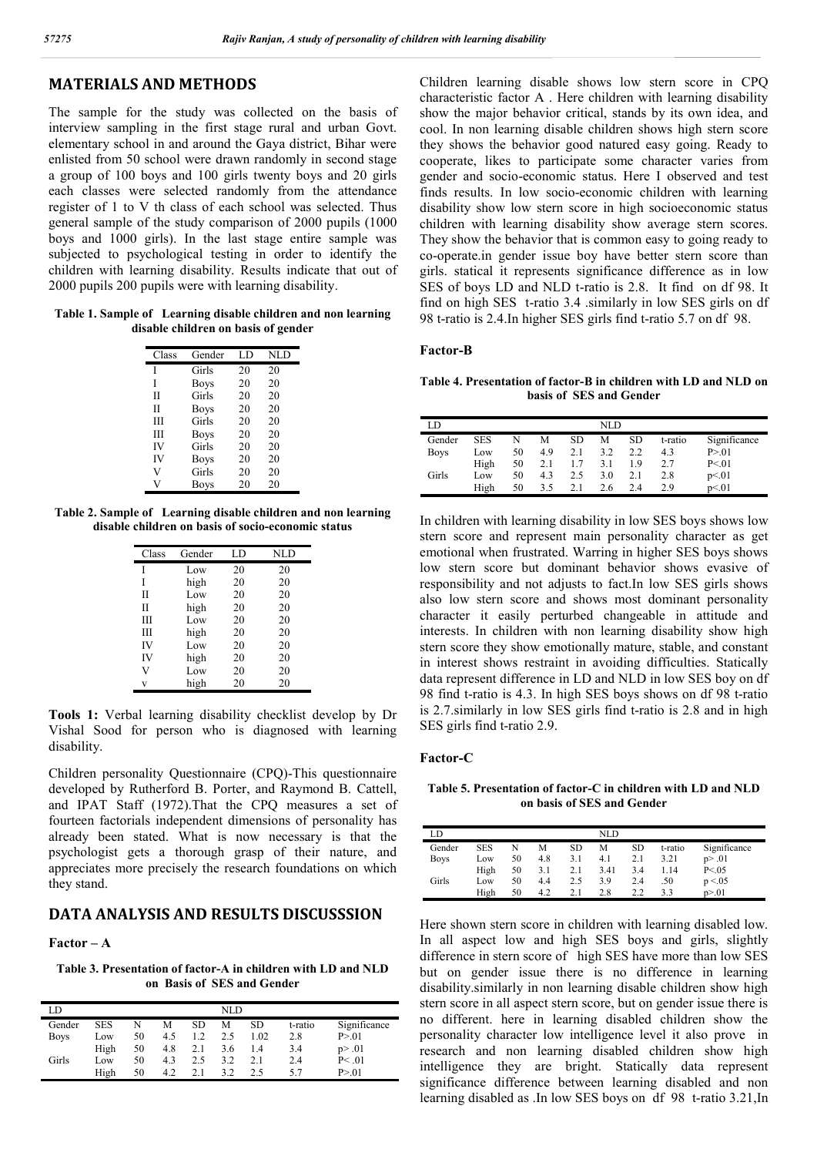### **MATERIALS AND METHODS**

The sample for the study was collected on the basis of interview sampling in the first stage rural and urban Govt. elementary school in and around the Gaya district, Bihar were enlisted from 50 school were drawn randomly in second stage a group of 100 boys and 100 girls twenty boys and 20 girls each classes were selected randomly from the attendance register of 1 to V th class of each school was selected. Thus general sample of the study comparison of 2000 pupils (1000 boys and 1000 girls). In the last stage entire sample was subjected to psychological testing in order to identify the children with learning disability. Results indicate that out of 2000 pupils 200 pupils were with learning disability.

**Table 1. Sample of Learning disable children and non learning disable children on basis of gender**

| Class | Gender      | LD | <b>NLD</b> |
|-------|-------------|----|------------|
| I     | Girls       | 20 | 20         |
| I     | <b>Boys</b> | 20 | 20         |
| H     | Girls       | 20 | 20         |
| П     | <b>Boys</b> | 20 | 20         |
| Ш     | Girls       | 20 | 20         |
| Ш     | <b>Boys</b> | 20 | 20         |
| IV    | Girls       | 20 | 20         |
| IV    | <b>Boys</b> | 20 | 20         |
| V     | Girls       | 20 | 20         |
|       | Boys        | 20 | 20         |

**Table 2. Sample of Learning disable children and non learning disable children on basis of socio-economic status**

| Class | Gender | LD | NLD |
|-------|--------|----|-----|
| I     | Low    | 20 | 20  |
| Ī     | high   | 20 | 20  |
| Н     | Low    | 20 | 20  |
| Н     | high   | 20 | 20  |
| Ш     | Low    | 20 | 20  |
| Ш     | high   | 20 | 20  |
| IV    | Low    | 20 | 20  |
| IV    | high   | 20 | 20  |
| V     | Low    | 20 | 20  |
| v     | high   | 20 | 20  |

**Tools 1:** Verbal learning disability checklist develop by Dr Vishal Sood for person who is diagnosed with learning disability.

Children personality Questionnaire (CPQ)-This questionnaire developed by Rutherford B. Porter, and Raymond B. Cattell, and IPAT Staff (1972).That the CPQ measures a set of fourteen factorials independent dimensions of personality has already been stated. What is now necessary is that the psychologist gets a thorough grasp of their nature, and appreciates more precisely the research foundations on which they stand.

### **DATA ANALYSIS AND RESULTS DISCUSSSION**

#### **Factor – A**

**Table 3. Presentation of factor-A in children with LD and NLD on Basis of SES and Gender**

| LD          |      |    |     |     | NLD |      |         |              |
|-------------|------|----|-----|-----|-----|------|---------|--------------|
| Gender      | SES  | N  | М   | SD  | М   | SD   | t-ratio | Significance |
| <b>Boys</b> | Low  | 50 | 4.5 |     | 2.5 | 1.02 | 2.8     | P > 01       |
|             | High | 50 | 4.8 | 2.1 | 3.6 | 1.4  | 3.4     | p > .01      |
| Girls       | Low  | 50 | 4.3 | 2.5 | 3.2 | 2.1  | 2.4     | P < 01       |
|             | High | 50 | 4.2 | 2.1 | 3.2 | 2.5  |         | P > 01       |

Children learning disable shows low stern score in CPQ characteristic factor A . Here children with learning disability show the major behavior critical, stands by its own idea, and cool. In non learning disable children shows high stern score they shows the behavior good natured easy going. Ready to cooperate, likes to participate some character varies from gender and socio-economic status. Here I observed and test finds results. In low socio-economic children with learning disability show low stern score in high socioeconomic status children with learning disability show average stern scores. They show the behavior that is common easy to going ready to co-operate.in gender issue boy have better stern score than girls. statical it represents significance difference as in low SES of boys LD and NLD t-ratio is 2.8. It find on df 98. It find on high SES t-ratio 3.4 .similarly in low SES girls on df 98 t-ratio is 2.4.In higher SES girls find t-ratio 5.7 on df 98.

#### **Factor-B**

**Table 4. Presentation of factor-B in children with LD and NLD on basis of SES and Gender**

| LD          | NLD  |    |     |           |     |     |         |              |  |  |
|-------------|------|----|-----|-----------|-----|-----|---------|--------------|--|--|
| Gender      | SES  | N  | М   | <b>SD</b> | М   | SD  | t-ratio | Significance |  |  |
| <b>Boys</b> | Low  | 50 | 4.9 | 2.1       | 3.2 | 2.2 | 4.3     | P > 01       |  |  |
|             | High | 50 | 2.1 | 1.7       | 3.1 | 19  | 2.7     | P < 01       |  |  |
| Girls       | Low  | 50 | 4.3 | 2.5       | 3.0 | 2.1 | 2.8     | p<01         |  |  |
|             | High | 50 | 3.5 | 2.1       | 2.6 | 2.4 | 29      | p<01         |  |  |

In children with learning disability in low SES boys shows low stern score and represent main personality character as get emotional when frustrated. Warring in higher SES boys shows low stern score but dominant behavior shows evasive of responsibility and not adjusts to fact.In low SES girls shows also low stern score and shows most dominant personality character it easily perturbed changeable in attitude and interests. In children with non learning disability show high stern score they show emotionally mature, stable, and constant in interest shows restraint in avoiding difficulties. Statically data represent difference in LD and NLD in low SES boy on df 98 find t-ratio is 4.3. In high SES boys shows on df 98 t-ratio is 2.7.similarly in low SES girls find t-ratio is 2.8 and in high SES girls find t-ratio 2.9.

#### **Factor-C**

**Table 5. Presentation of factor-C in children with LD and NLD on basis of SES and Gender**

| LD          |            |    |     |     | NLD  |     |         |              |
|-------------|------------|----|-----|-----|------|-----|---------|--------------|
| Gender      | <b>SES</b> | N  | М   | SD  | М    | SD  | t-ratio | Significance |
| <b>Boys</b> | Low        | 50 | 4.8 | 3.1 | 4.1  | 2.1 | 3.21    | p > .01      |
|             | High       | 50 | 3.1 | 2.1 | 3.41 | 3.4 | l.14    | P < 0.05     |
| Girls       | Low        | 50 | 4.4 | 2.5 | 3.9  | 2.4 | .50     | p < 0.05     |
|             | High       | 50 | 4.2 | 2.1 | 2.8  | 2.2 | 33      | p > 01       |

Here shown stern score in children with learning disabled low. In all aspect low and high SES boys and girls, slightly difference in stern score of high SES have more than low SES but on gender issue there is no difference in learning disability.similarly in non learning disable children show high stern score in all aspect stern score, but on gender issue there is no different. here in learning disabled children show the personality character low intelligence level it also prove in research and non learning disabled children show high intelligence they are bright. Statically data represent significance difference between learning disabled and non learning disabled as .In low SES boys on df 98 t-ratio 3.21,In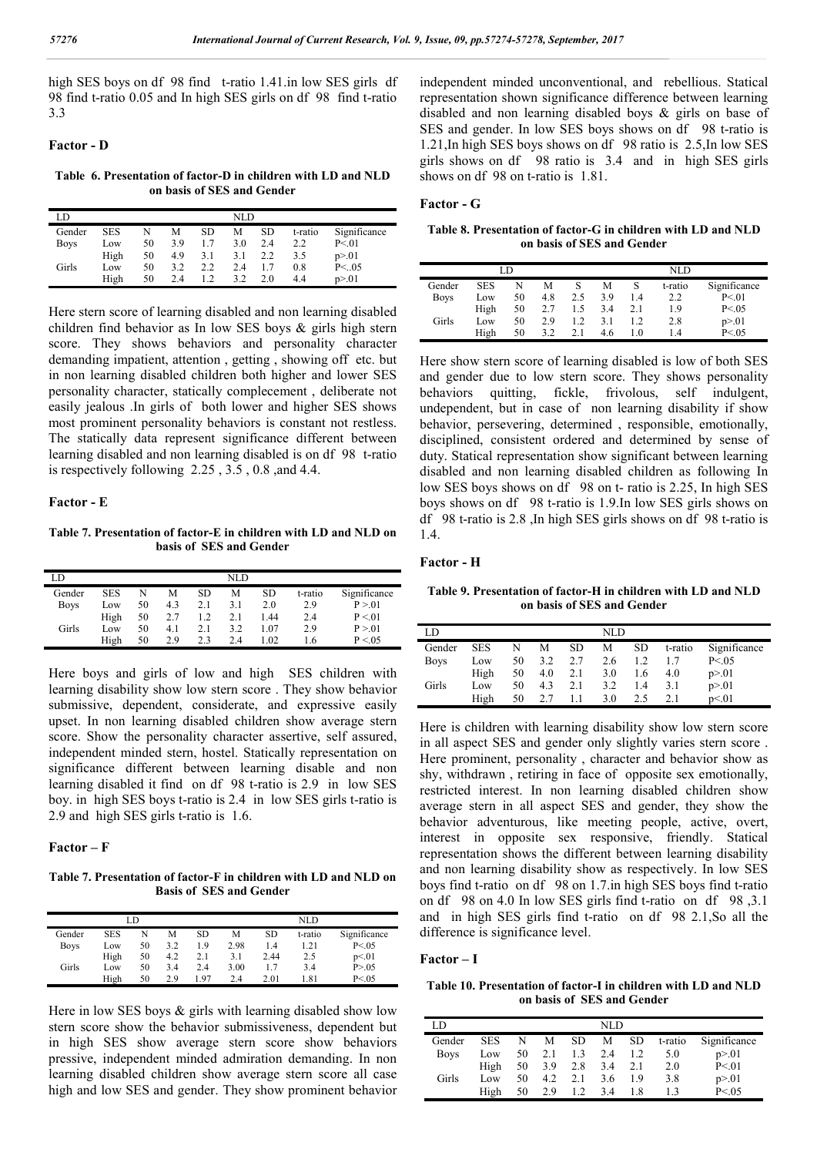high SES boys on df 98 find t-ratio 1.41.in low SES girls df 98 find t-ratio 0.05 and In high SES girls on df 98 find t-ratio 3.3

#### **Factor - D**

**Table 6. Presentation of factor-D in children with LD and NLD on basis of SES and Gender**

| LD          | NLD        |    |     |     |     |     |         |              |  |  |  |
|-------------|------------|----|-----|-----|-----|-----|---------|--------------|--|--|--|
| Gender      | <b>SES</b> | N  | М   | SD  | М   | SD. | t-ratio | Significance |  |  |  |
| <b>Boys</b> | Low        | 50 | 3.9 |     | 3.0 | 2.4 | 2.2     | P < 01       |  |  |  |
|             | High       | 50 | 4.9 | 3.1 | 3.1 | 2.2 | 3.5     | p > 01       |  |  |  |
| Girls       | Low        | 50 | 3.2 | 2.2 | 2.4 |     | 0.8     | P < .05      |  |  |  |
|             | High       | 50 | 2.4 |     | 3.2 | 2.0 | 4.4     | p > 01       |  |  |  |

Here stern score of learning disabled and non learning disabled children find behavior as In low SES boys & girls high stern score. They shows behaviors and personality character demanding impatient, attention , getting , showing off etc. but in non learning disabled children both higher and lower SES personality character, statically complecement , deliberate not easily jealous .In girls of both lower and higher SES shows most prominent personality behaviors is constant not restless. The statically data represent significance different between learning disabled and non learning disabled is on df 98 t-ratio is respectively following 2.25 , 3.5 , 0.8 ,and 4.4.

#### **Factor - E**

**Table 7. Presentation of factor-E in children with LD and NLD on basis of SES and Gender**

| LD          |            |    |     |     | NLD |      |         |              |
|-------------|------------|----|-----|-----|-----|------|---------|--------------|
| Gender      | <b>SES</b> | N  | М   | SD  | М   | SD   | t-ratio | Significance |
| <b>Boys</b> | Low        | 50 | 4.3 | 2.1 | 3.1 | 2.0  | 2.9     | P > 01       |
|             | High       | 50 | 2.7 | 1.2 | 2.1 | 1.44 | 2.4     | P < 01       |
| Girls       | Low        | 50 | 4.1 | 2.1 | 3.2 | 1.07 | 2.9     | P > 01       |
|             | High       | 50 | 29  | 2.3 | 2.4 | 1.02 | 1.6     | P < 0.05     |

Here boys and girls of low and high SES children with learning disability show low stern score . They show behavior submissive, dependent, considerate, and expressive easily upset. In non learning disabled children show average stern score. Show the personality character assertive, self assured, independent minded stern, hostel. Statically representation on significance different between learning disable and non learning disabled it find on df 98 t-ratio is 2.9 in low SES boy. in high SES boys t-ratio is 2.4 in low SES girls t-ratio is 2.9 and high SES girls t-ratio is 1.6.

#### **Factor – F**

**Table 7. Presentation of factor-F in children with LD and NLD on Basis of SES and Gender**

|             |            | LD |     |     | NLD  |      |         |              |
|-------------|------------|----|-----|-----|------|------|---------|--------------|
| Gender      | <b>SES</b> |    | М   | SD  | М    | SD   | t-ratio | Significance |
| <b>Boys</b> | Low        | 50 | 3.2 | 1.9 | 2.98 | 1.4  | 1.21    | P < 0.05     |
|             | High       | 50 | 4.2 | 2.1 | 3.1  | 2.44 | 2.5     | p<01         |
| Girls       | Low        | 50 | 3.4 | 2.4 | 3.00 |      | 3.4     | P > 0.05     |
|             | High       | 50 | 29  | 197 | 2.4  | 2.01 | l.81    | P < 0.05     |

Here in low SES boys  $\&$  girls with learning disabled show low stern score show the behavior submissiveness, dependent but in high SES show average stern score show behaviors pressive, independent minded admiration demanding. In non learning disabled children show average stern score all case high and low SES and gender. They show prominent behavior

independent minded unconventional, and rebellious. Statical representation shown significance difference between learning disabled and non learning disabled boys & girls on base of SES and gender. In low SES boys shows on df 98 t-ratio is 1.21,In high SES boys shows on df 98 ratio is 2.5,In low SES girls shows on df 98 ratio is 3.4 and in high SES girls shows on df 98 on t-ratio is 1.81.

#### **Factor - G**

**Table 8. Presentation of factor-G in children with LD and NLD on basis of SES and Gender**

|             |            | I D |     |     | NLD |     |         |              |  |
|-------------|------------|-----|-----|-----|-----|-----|---------|--------------|--|
| Gender      | <b>SES</b> | N   | M   |     | M   |     | t-ratio | Significance |  |
| <b>Boys</b> | Low        | 50  | 4.8 | 2.5 | 3.9 | 1.4 | 2.2     | P < 01       |  |
|             | High       | 50  | 2.7 | 1.5 | 3.4 | 2.1 | 1.9     | P < 0.05     |  |
| Girls       | Low        | 50  | 2.9 | 1.2 | 3.1 |     | 2.8     | p > 01       |  |
|             | High       | 50  | 3.2 | 2.1 | 4.6 | l.O | 14      | P < 0.05     |  |

Here show stern score of learning disabled is low of both SES and gender due to low stern score. They shows personality behaviors quitting, fickle, frivolous, self indulgent, undependent, but in case of non learning disability if show behavior, persevering, determined , responsible, emotionally, disciplined, consistent ordered and determined by sense of duty. Statical representation show significant between learning disabled and non learning disabled children as following In low SES boys shows on df 98 on t- ratio is 2.25, In high SES boys shows on df 98 t-ratio is 1.9.In low SES girls shows on df 98 t-ratio is 2.8 ,In high SES girls shows on df 98 t-ratio is 1.4.

#### **Factor - H**

**Table 9. Presentation of factor-H in children with LD and NLD on basis of SES and Gender**

| LD          | NLD        |    |     |     |     |     |         |              |  |  |  |
|-------------|------------|----|-----|-----|-----|-----|---------|--------------|--|--|--|
| Gender      | <b>SES</b> | N  | М   | SD  | М   | SD  | t-ratio | Significance |  |  |  |
| <b>Boys</b> | Low        | 50 | 3.2 | 2.7 | 2.6 | 1.2 |         | P < 0.05     |  |  |  |
|             | High       | 50 | 4.0 | 2.1 | 3.0 | 1.6 | 4.0     | p > 01       |  |  |  |
| Girls       | Low        | 50 | 4.3 | 2.1 | 3.2 | 1.4 | 3.1     | p > 01       |  |  |  |
|             | High       | 50 |     |     | 3.0 | 2.5 | 2.1     | p<01         |  |  |  |

Here is children with learning disability show low stern score in all aspect SES and gender only slightly varies stern score . Here prominent, personality , character and behavior show as shy, withdrawn , retiring in face of opposite sex emotionally, restricted interest. In non learning disabled children show average stern in all aspect SES and gender, they show the behavior adventurous, like meeting people, active, overt, interest in opposite sex responsive, friendly. Statical representation shows the different between learning disability and non learning disability show as respectively. In low SES boys find t-ratio on df 98 on 1.7.in high SES boys find t-ratio on df 98 on 4.0 In low SES girls find t-ratio on df 98 ,3.1 and in high SES girls find t-ratio on df 98 2.1,So all the difference is significance level.

#### **Factor – I**

**Table 10. Presentation of factor-I in children with LD and NLD on basis of SES and Gender**

| LD          | NLD        |    |     |     |     |     |         |              |  |  |  |
|-------------|------------|----|-----|-----|-----|-----|---------|--------------|--|--|--|
| Gender      | <b>SES</b> | N  | М   | SD. | М   | SD. | t-ratio | Significance |  |  |  |
| <b>Boys</b> | Low        | 50 | 2.1 | 1.3 | 2.4 | 1.2 | 5.0     | p > 01       |  |  |  |
|             | High       | 50 | 3.9 | 2.8 | 3.4 | 2.1 | 2.0     | P < 01       |  |  |  |
| Girls       | Low        | 50 | 4.2 | 2.1 | 3.6 | 19  | 3.8     | p > 01       |  |  |  |
|             | High       | 50 | 2.9 | 1.2 | 3.4 | 1.8 | 13      | P < 0.05     |  |  |  |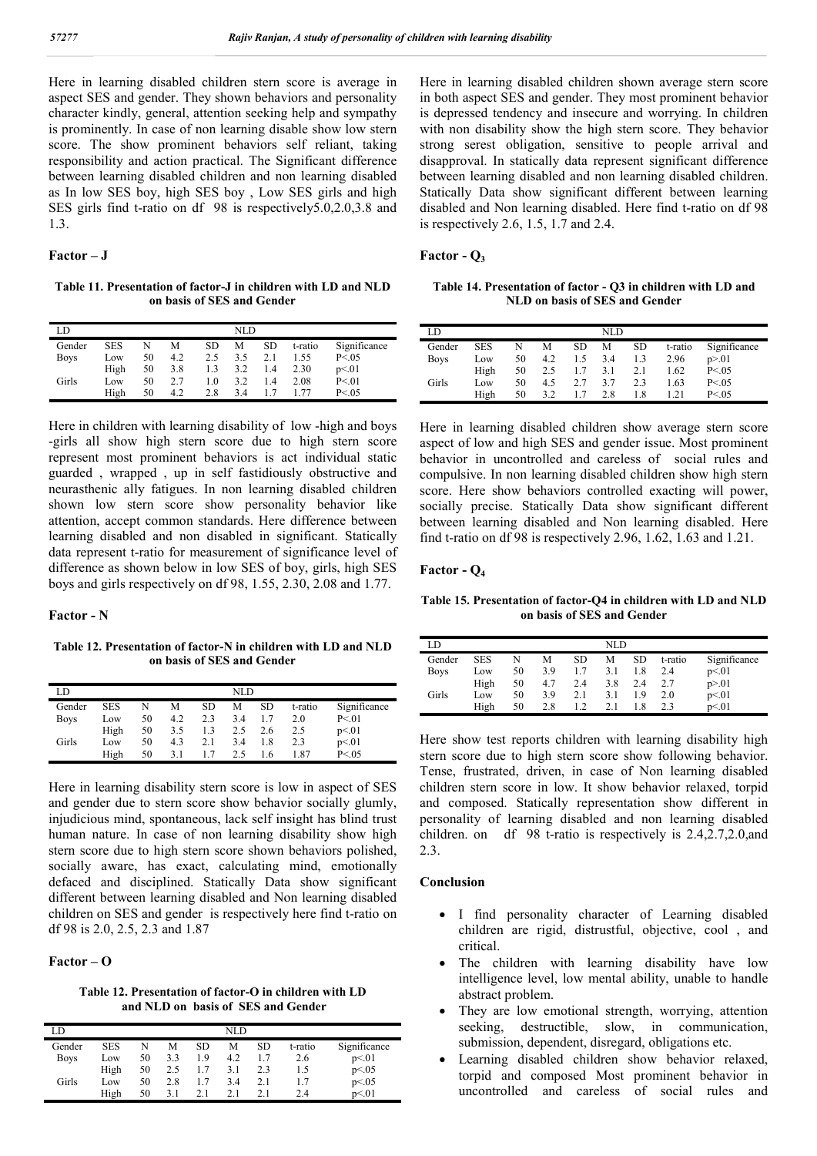Here in learning disabled children stern score is average in aspect SES and gender. They shown behaviors and personality character kindly, general, attention seeking help and sympathy is prominently. In case of non learning disable show low stern score. The show prominent behaviors self reliant, taking responsibility and action practical. The Significant difference between learning disabled children and non learning disabled as In low SES boy, high SES boy , Low SES girls and high SES girls find t-ratio on df 98 is respectively5.0,2.0,3.8 and 1.3.

#### **Factor – J**

**Table 11. Presentation of factor-J in children with LD and NLD on basis of SES and Gender**

| LD          | NLD        |    |     |     |     |     |         |              |  |  |
|-------------|------------|----|-----|-----|-----|-----|---------|--------------|--|--|
| Gender      | <b>SES</b> | N  | М   | SD  | М   | SD  | t-ratio | Significance |  |  |
| <b>Boys</b> | Low        | 50 | 4.2 | 2.5 | 3.5 | 2.1 | 1.55    | P < 0.05     |  |  |
|             | High       | 50 | 3.8 | 1.3 | 3.2 | 1.4 | 2.30    | p<01         |  |  |
| Girls       | Low        | 50 | 2.7 | 1.0 | 3.2 | 1.4 | 2.08    | P < 01       |  |  |
|             | High       | 50 | 4.2 | 2.8 | 3.4 |     | 177     | P < 0.05     |  |  |

Here in children with learning disability of low -high and boys -girls all show high stern score due to high stern score represent most prominent behaviors is act individual static guarded , wrapped , up in self fastidiously obstructive and neurasthenic ally fatigues. In non learning disabled children shown low stern score show personality behavior like attention, accept common standards. Here difference between learning disabled and non disabled in significant. Statically data represent t-ratio for measurement of significance level of difference as shown below in low SES of boy, girls, high SES boys and girls respectively on df 98, 1.55, 2.30, 2.08 and 1.77.

#### **Factor - N**

**Table 12. Presentation of factor-N in children with LD and NLD on basis of SES and Gender**

| LD          | NLD        |    |     |     |     |           |         |              |  |
|-------------|------------|----|-----|-----|-----|-----------|---------|--------------|--|
| Gender      | <b>SES</b> | N  | M   | SD  | М   | <b>SD</b> | t-ratio | Significance |  |
| <b>Boys</b> | Low        | 50 | 4.2 | 2.3 | 3.4 |           | 2.0     | P < 01       |  |
|             | High       | 50 | 3.5 | 1.3 | 2.5 | 2.6       | 2.5     | p<01         |  |
| Girls       | Low        | 50 | 4.3 | 2.1 | 3.4 | 1.8       | 2.3     | p<01         |  |
|             | High       | 50 | 3.1 |     | 2.5 | 1.6       | 1.87    | P < 0.05     |  |

Here in learning disability stern score is low in aspect of SES and gender due to stern score show behavior socially glumly, injudicious mind, spontaneous, lack self insight has blind trust human nature. In case of non learning disability show high stern score due to high stern score shown behaviors polished, socially aware, has exact, calculating mind, emotionally defaced and disciplined. Statically Data show significant different between learning disabled and Non learning disabled children on SES and gender is respectively here find t-ratio on df 98 is 2.0, 2.5, 2.3 and 1.87

#### **Factor – O**

**Table 12. Presentation of factor-O in children with LD and NLD on basis of SES and Gender**

| LD          |            |    |     |     | NLD |     |         |              |
|-------------|------------|----|-----|-----|-----|-----|---------|--------------|
| Gender      | <b>SES</b> | N  | М   | SD  | М   | SD  | t-ratio | Significance |
| <b>Boys</b> | Low        | 50 | 3.3 | 1.9 | 4.2 |     | 2.6     | p<01         |
|             | High       | 50 | 2.5 | 1.7 | 3.1 | 2.3 | 1.5     | p < 0.05     |
| Girls       | Low        | 50 | 2.8 | 17  | 3.4 | 2.1 | 1.7     | p<0.05       |
|             | High       | 50 | 31  | 21  | 2.1 |     | 2.4     | p<01         |

Here in learning disabled children shown average stern score in both aspect SES and gender. They most prominent behavior is depressed tendency and insecure and worrying. In children with non disability show the high stern score. They behavior strong serest obligation, sensitive to people arrival and disapproval. In statically data represent significant difference between learning disabled and non learning disabled children. Statically Data show significant different between learning disabled and Non learning disabled. Here find t-ratio on df 98 is respectively 2.6, 1.5, 1.7 and 2.4.

#### **Factor - Q3**

**Table 14. Presentation of factor - Q3 in children with LD and NLD on basis of SES and Gender**

| LD          |            |    |     |     | NLD |     |         |              |
|-------------|------------|----|-----|-----|-----|-----|---------|--------------|
| Gender      | <b>SES</b> | N  | М   | SD  | М   | SD  | t-ratio | Significance |
| <b>Boys</b> | Low        | 50 | 4.2 | 1.5 | 3.4 | 1.3 | 2.96    | p > 01       |
|             | High       | 50 | 2.5 | 1.7 | 3.1 | 2.1 | 1.62    | P < 0.05     |
| Girls       | Low        | 50 | 4.5 | 2.7 | 3.7 | 2.3 | 1.63    | P < 0.05     |
|             | High       | 50 | 3.2 |     | 2.8 | 1.8 | .21     | P < 0.05     |

Here in learning disabled children show average stern score aspect of low and high SES and gender issue. Most prominent behavior in uncontrolled and careless of social rules and compulsive. In non learning disabled children show high stern score. Here show behaviors controlled exacting will power, socially precise. Statically Data show significant different between learning disabled and Non learning disabled. Here find t-ratio on df 98 is respectively 2.96, 1.62, 1.63 and 1.21.

#### **Factor - Q4**

**Table 15. Presentation of factor-Q4 in children with LD and NLD on basis of SES and Gender**

| LD          |      |    |     |     | NLD |           |         |              |  |
|-------------|------|----|-----|-----|-----|-----------|---------|--------------|--|
| Gender      | SES  | N  | M   | SD  | М   | <b>SD</b> | t-ratio | Significance |  |
| <b>Boys</b> | Low  | 50 | 3.9 | 1.7 | 3.1 | 1.8       | 2.4     | p<01         |  |
|             | High | 50 | 4.7 | 2.4 | 3.8 | 2.4       | 2.7     | p > 01       |  |
| Girls       | Low  | 50 | 3.9 | 2.1 | 3.1 | 19        | 2.0     | p<01         |  |
|             | High | 50 | 2.8 | 1.2 | 2.1 | .8        | 2.3     | p<01         |  |

Here show test reports children with learning disability high stern score due to high stern score show following behavior. Tense, frustrated, driven, in case of Non learning disabled children stern score in low. It show behavior relaxed, torpid and composed. Statically representation show different in personality of learning disabled and non learning disabled children. on df 98 t-ratio is respectively is 2.4,2.7,2.0,and  $2.3$ 

#### **Conclusion**

- I find personality character of Learning disabled children are rigid, distrustful, objective, cool , and critical.
- The children with learning disability have low intelligence level, low mental ability, unable to handle abstract problem.
- They are low emotional strength, worrying, attention seeking, destructible, slow, in communication, submission, dependent, disregard, obligations etc.
- Learning disabled children show behavior relaxed, torpid and composed Most prominent behavior in uncontrolled and careless of social rules and